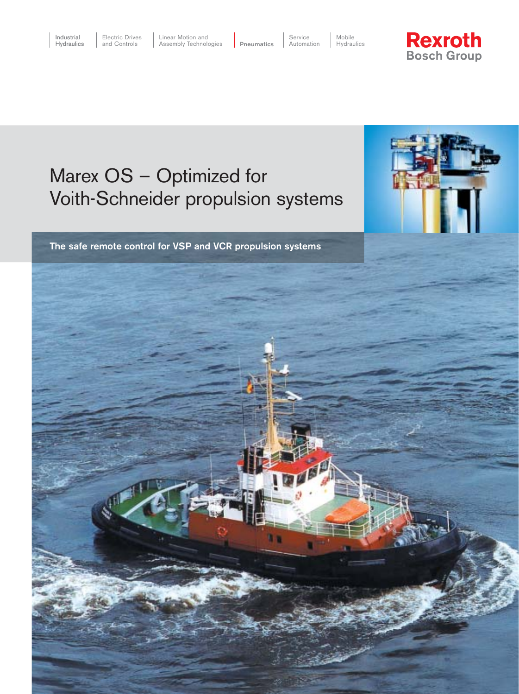Linear Motion and **Assembly Technologies** 

 Service Pneumatics

 Automation Mobile Hydraulics



# Marex OS – Optimized for Voith-Schneider propulsion systems

The safe remote control for VSP and VCR propulsion systems

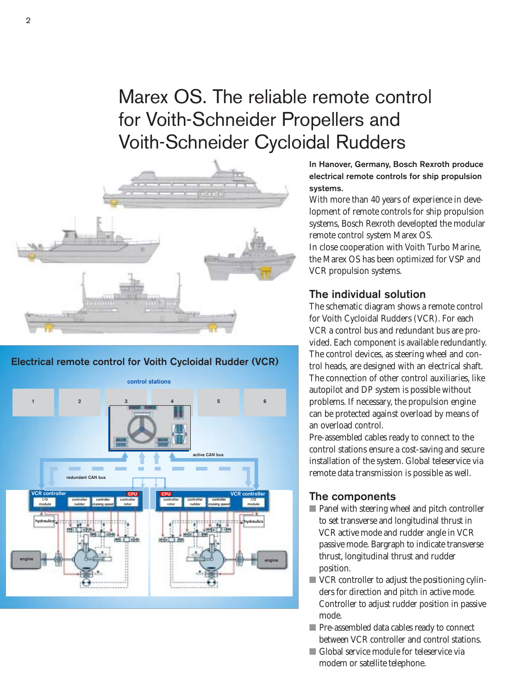# Marex OS. The reliable remote control for Voith-Schneider Propellers and Voith-Schneider Cycloidal Rudders



#### Electrical remote control for Voith Cycloidal Rudder (VCR)



In Hanover, Germany, Bosch Rexroth produce electrical remote controls for ship propulsion systems.

With more than 40 years of experience in development of remote controls for ship propulsion systems, Bosch Rexroth developted the modular remote control system Marex OS.

In close cooperation with Voith Turbo Marine, the Marex OS has been optimized for VSP and VCR propulsion systems.

### The individual solution

The schematic diagram shows a remote control for Voith Cycloidal Rudders (VCR). For each VCR a control bus and redundant bus are provided. Each component is available redundantly. The control devices, as steering wheel and control heads, are designed with an electrical shaft. The connection of other control auxiliaries, like autopilot and DP system is possible without problems. If necessary, the propulsion engine can be protected against overload by means of an overload control.

Pre-assembled cables ready to connect to the control stations ensure a cost-saving and secure installation of the system. Global teleservice via remote data transmission is possible as well.

#### The components

- Panel with steering wheel and pitch controller to set transverse and longitudinal thrust in VCR active mode and rudder angle in VCR passive mode. Bargraph to indicate transverse thrust, longitudinal thrust and rudder position.
- VCR controller to adjust the positioning cylin ders for direction and pitch in active mode. Controller to adjust rudder position in passive mode.
- Pre-assembled data cables ready to connect between VCR controller and control stations.
- Global service module for teleservice via modem or satellite telephone.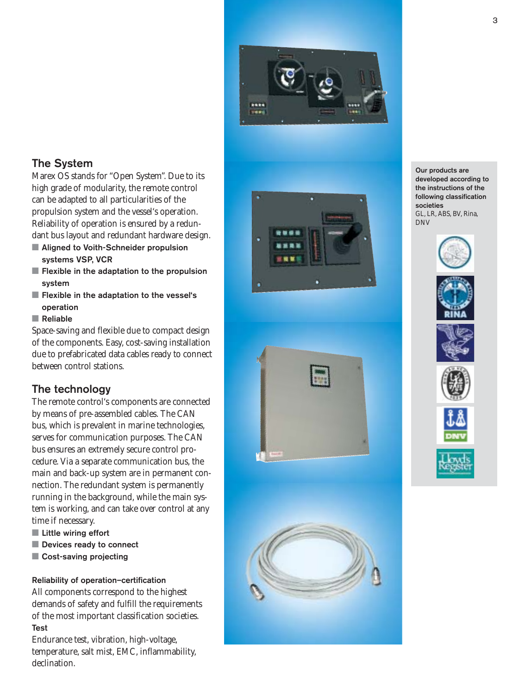

## The System

Marex OS stands for "Open System". Due to its high grade of modularity, the remote control can be adapted to all particularities of the propulsion system and the vessel's operation. Reliability of operation is ensured by a redundant bus layout and redundant hardware design.

- Aligned to Voith-Schneider propulsion systems VSP, VCR
- Flexible in the adaptation to the propulsion system
- Flexible in the adaptation to the vessel's operation

#### ■ Reliable

Space-saving and flexible due to compact design of the components. Easy, cost-saving installation due to prefabricated data cables ready to connect between control stations.

### The technology

The remote control's components are connected by means of pre-assembled cables. The CAN bus, which is prevalent in marine technologies, serves for communication purposes. The CAN bus ensures an extremely secure control procedure. Via a separate communication bus, the main and back-up system are in permanent connection. The redundant system is permanently running in the background, while the main system is working, and can take over control at any time if necessary.

- Little wiring effort
- Devices ready to connect
- Cost-saving projecting

#### Reliability of operation–certification

All components correspond to the highest demands of safety and fulfill the requirements of the most important classification societies. Test

Endurance test, vibration, high-voltage, temperature, salt mist, EMC, inflammability, declination.

Our products are developed according to<br>the instructions of the following classification societies GL, LR, ABS, BV, Rina, DNV